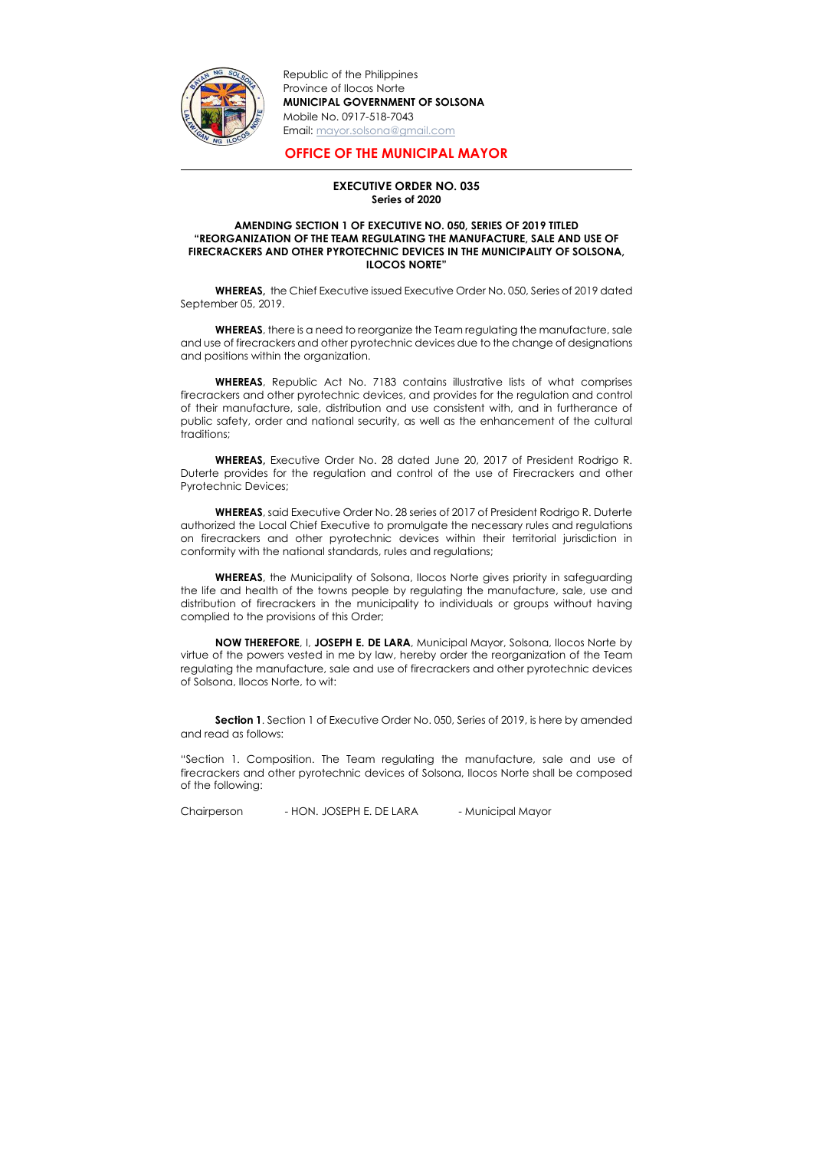

-

Republic of the Philippines Province of Ilocos Norte MUNICIPAL GOVERNMENT OF SOLSONA Mobile No. 0917-518-7043 Email: mayor.solsona@gmail.com

## OFFICE OF THE MUNICIPAL MAYOR

## EXECUTIVE ORDER NO. 035 Series of 2020

## AMENDING SECTION 1 OF EXECUTIVE NO. 050, SERIES OF 2019 TITLED "REORGANIZATION OF THE TEAM REGULATING THE MANUFACTURE, SALE AND USE OF FIRECRACKERS AND OTHER PYROTECHNIC DEVICES IN THE MUNICIPALITY OF SOLSONA, ILOCOS NORTE"

WHEREAS, there is a need to reorganize the Team regulating the manufacture, sale and use of firecrackers and other pyrotechnic devices due to the change of designations and positions within the organization.

WHEREAS, the Chief Executive issued Executive Order No. 050, Series of 2019 dated September 05, 2019.

WHEREAS, Republic Act No. 7183 contains illustrative lists of what comprises firecrackers and other pyrotechnic devices, and provides for the regulation and control of their manufacture, sale, distribution and use consistent with, and in furtherance of public safety, order and national security, as well as the enhancement of the cultural traditions;

WHEREAS, the Municipality of Solsona, Ilocos Norte gives priority in safeguarding the life and health of the towns people by regulating the manufacture, sale, use and distribution of firecrackers in the municipality to individuals or groups without having complied to the provisions of this Order;

**Section 1.** Section 1 of Executive Order No. 050, Series of 2019, is here by amended and read as follows:

WHEREAS, Executive Order No. 28 dated June 20, 2017 of President Rodrigo R. Duterte provides for the regulation and control of the use of Firecrackers and other Pyrotechnic Devices;

WHEREAS, said Executive Order No. 28 series of 2017 of President Rodrigo R. Duterte authorized the Local Chief Executive to promulgate the necessary rules and regulations on firecrackers and other pyrotechnic devices within their territorial jurisdiction in conformity with the national standards, rules and regulations;

NOW THEREFORE, I, JOSEPH E. DE LARA, Municipal Mayor, Solsona, Ilocos Norte by virtue of the powers vested in me by law, hereby order the reorganization of the Team regulating the manufacture, sale and use of firecrackers and other pyrotechnic devices of Solsona, Ilocos Norte, to wit:

"Section 1. Composition. The Team regulating the manufacture, sale and use of firecrackers and other pyrotechnic devices of Solsona, Ilocos Norte shall be composed of the following:

Chairperson - HON. JOSEPH E. DE LARA - Municipal Mayor